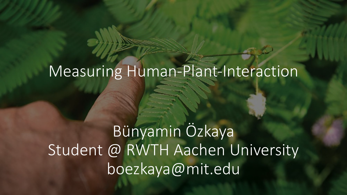# Measuring Human-Plant-Interaction

Bünyamin Özkaya Student @ RWTH Aachen University boezkaya@mit.edu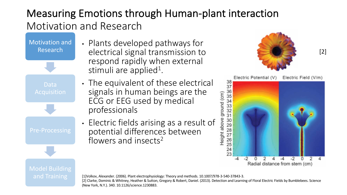# Measuring Emotions through Human-plant interaction Motivation and Research

Motivation and Research

- Data Model Building
- Plants developed pathways for electrical signal transmission to respond rapidly when external stimuli are applied<sup>1</sup>.
- The equivalent of these electrical signals in human beings are the ECG or EEG used by medical professionals
- Electric fields arising as a result of potential differences between flowers and insects<sup>2</sup>



[2]



#### [1]Volkov, Alexander. (2006). Plant electrophysiology: Theory and methods. 10.1007/978-3-540-37843-3. [2] Clarke, Dominic & Whitney, Heather & Sutton, Gregory & Robert, Daniel. (2013). Detection and Learning of Floral Electric Fields by Bumblebees. Science (New York, N.Y.). 340. 10.1126/science.1230883.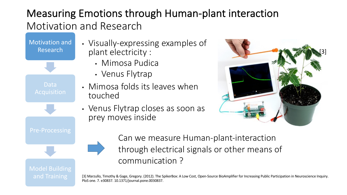### Measuring Emotions through Human-plant interaction Motivation and Research

Motivation and Research

Data

• Visually-expressing examples of plant electricity :

- Mimosa Pudica
- Venus Flytrap
- Mimosa folds its leaves when touched
- Venus Flytrap closes as soon as prey moves inside



Model Building

Can we measure Human-plant-interaction through electrical signals or other means of communication ?

[3] Marzullo, Timothy & Gage, Gregory. (2012). The SpikerBox: A Low Cost, Open-Source BioAmplifier for Increasing Public Participation in Neuroscience Inquiry. PloS one. 7. e30837. 10.1371/journal.pone.0030837.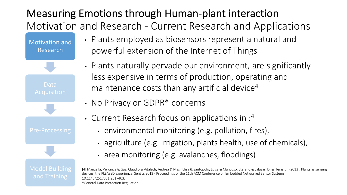# Measuring Emotions through Human-plant interaction Motivation and Research - Current Research and Applications

Motivation and Research

Data

**Model Building** 

and Training

- Plants employed as biosensors represent a natural and powerful extension of the Internet of Things
- Plants naturally pervade our environment, are significantly less expensive in terms of production, operating and maintenance costs than any artificial device<sup>4</sup>
- No Privacy or GDPR\* concerns
- Current Research focus on applications in :4
	- environmental monitoring (e.g. pollution, fires),
	- agriculture (e.g. irrigation, plants health, use of chemicals),
	- area monitoring (e.g. avalanches, floodings)

[4] Manzella, Veronica & Gaz, Claudio & Vitaletti, Andrea & Masi, Elisa & Santopolo, Luisa & Mancuso, Stefano & Salazar, D. & Heras, J.. (2013). Plants assensing devices: the PLEASED experience. SenSys 2013 - Proceedings of the 11th ACM Conference on Embedded Networked Sensor Systems. 10.1145/2517351.2517403. \*General Data Protection Regulation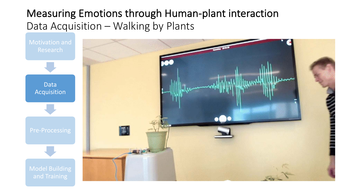#### Measuring Emotions through Human-plant interaction Data Acquisition – Walking by Plants

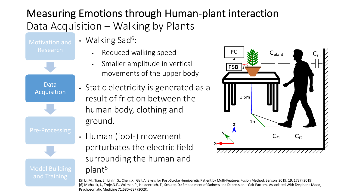# Measuring Emotions through Human-plant interaction Data Acquisition – Walking by Plants

Research

Data

Acquisition

**Model Building** 

- Walking Sad<sup>6</sup>:
	- Reduced walking speed
	- Smaller amplitude in vertical movements of the upper body
- Static electricity is generated as a result of friction between the human body, clothing and ground.
- Human (foot-) movement perturbates the electric field surrounding the human and plant5



[5] Li, M., Tian, S., Linlin, S., Chen, X.: Gait Analysis for Post-Stroke Hemiparetic Patient by Multi-Features Fusion Method. Sensors 2019, 19, 1737 (2019) [6] Michalak, J., Troje,N.F., Vollmar, P., Heidenreich, T., Schulte, D.: Embodiment of Sadness and Depression—Gait Patterns Associated With Dysphoric Mood, Psychosomatic Medicine 71:580–587 (2009).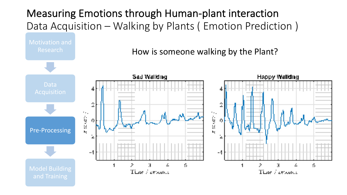Measuring Emotions through Human-plant interaction Data Acquisition – Walking by Plants ( Emotion Prediction )

Research How is someone walking by the Plant?Sad Walking **Happy Walking** Data 2 ٠.,  $\tilde{Z}$  in one) is<br>Se 0. 0. Pre-Processing bę. ż --1 я ß s. 2 2 К **Model Building** Time / zewards Time / zewords and Training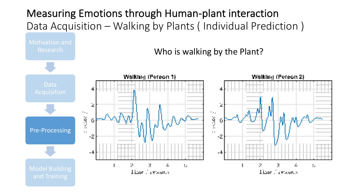Measuring Emotions through Human-plant interaction Data Acquisition – Walking by Plants ( Individual Prediction )

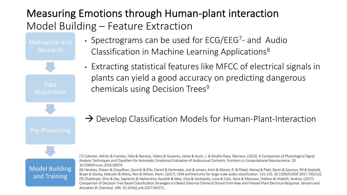### Measuring Emotions through Human-plant interaction Model Building – Feature Extraction

Motivation and Research

• Spectrograms can be used for ECG/EEG<sup>7</sup>- and Audio Classification in Machine Learning Applications<sup>8</sup>

Data

Pre-Processing

• Extracting statistical features like MFCC of electrical signals in plants can yield a good accuracy on predicting dangerous chemicals using Decision Trees<sup>9</sup>

 $\rightarrow$  Develop Classification Models for Human-Plant-Interaction

Model Building and Training

[7] Colomer, Adrián & Fuentes, Félix & Naranjo, Valery & Guixeres, Jaime & Ausín, J. & Alcañiz Raya, Mariano. (2016). A Comparison of Physiological Signal Analysis Techniques and Classifiers for Automatic Emotional Evaluation of Audiovisual Contents. Frontiers in Computational Neuroscience. 10. 10.3389/fncom.2016.00074.

[8] Hershey, Shawn & Chaudhuri, Sourish & Ellis, Daniel & Gemmeke, Jort & Jansen, Aren & Moore, R. & Plakal, Manoj & Platt, Devin & Saurous, Rif & Seybold, Bryan & Slaney, Malcolm & Weiss, Ron & Wilson, Kevin. (2017). CNN architectures for large-scale audio classification. 131-135. 10.1109/ICASSP.2017.7952132 [9] Chatterjee, Shre & Das, Saptarshi & Maharatna, Koushik & Masi, Elisa & Santopolo, Luisa & Colzi, Ilaria & Mancuso, Stefano & Vitaletti, Andrea. (2017). Comparison of Decision Tree Based Classification Strategies to Detect External Chemical Stimuli from Raw and Filtered Plant Electrical Response. Sensors and Actuators B: Chemical. 249. 10.1016/j.snb.2017.04.071. .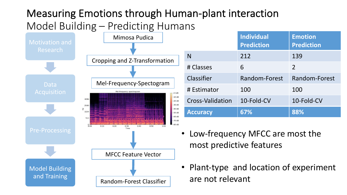# Measuring Emotions through Human-plant interaction Model Building – Predicting Humans



|                         | <b>Individual</b><br><b>Prediction</b> | <b>Emotion</b><br><b>Prediction</b> |
|-------------------------|----------------------------------------|-------------------------------------|
| N                       | 212                                    | 139                                 |
| # Classes               | 6                                      | 2                                   |
| Classifier              | Random-Forest                          | Random-Forest                       |
| # Estimator             | 100                                    | 100                                 |
| <b>Cross-Validation</b> | 10-Fold-CV                             | 10-Fold-CV                          |
| <b>Accuracy</b>         | 67%                                    | 88%                                 |

- Low-frequency MFCC are most the most predictive features
- Plant-type and location of experiment are not relevant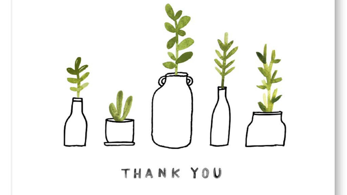

THANK YOU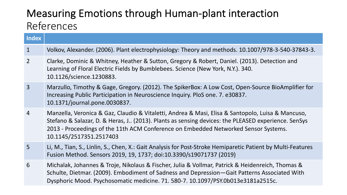#### Measuring Emotions through Human-plant interaction References

| <b>Index</b>   |                                                                                                                                                                                                                                                                                                                           |
|----------------|---------------------------------------------------------------------------------------------------------------------------------------------------------------------------------------------------------------------------------------------------------------------------------------------------------------------------|
| $\mathbf{1}$   | Volkov, Alexander. (2006). Plant electrophysiology: Theory and methods. 10.1007/978-3-540-37843-3.                                                                                                                                                                                                                        |
| $\overline{2}$ | Clarke, Dominic & Whitney, Heather & Sutton, Gregory & Robert, Daniel. (2013). Detection and<br>Learning of Floral Electric Fields by Bumblebees. Science (New York, N.Y.). 340.<br>10.1126/science.1230883.                                                                                                              |
| $\overline{3}$ | Marzullo, Timothy & Gage, Gregory. (2012). The SpikerBox: A Low Cost, Open-Source BioAmplifier for<br>Increasing Public Participation in Neuroscience Inquiry. PloS one. 7. e30837.<br>10.1371/journal.pone.0030837.                                                                                                      |
| $\overline{4}$ | Manzella, Veronica & Gaz, Claudio & Vitaletti, Andrea & Masi, Elisa & Santopolo, Luisa & Mancuso,<br>Stefano & Salazar, D. & Heras, J (2013). Plants as sensing devices: the PLEASED experience. SenSys<br>2013 - Proceedings of the 11th ACM Conference on Embedded Networked Sensor Systems.<br>10.1145/2517351.2517403 |
| 5              | Li, M., Tian, S., Linlin, S., Chen, X.: Gait Analysis for Post-Stroke Hemiparetic Patient by Multi-Features<br>Fusion Method. Sensors 2019, 19, 1737; doi:10.3390/s19071737 (2019)                                                                                                                                        |
| 6              | Michalak, Johannes & Troje, Nikolaus & Fischer, Julia & Vollmar, Patrick & Heidenreich, Thomas &<br>Schulte, Dietmar. (2009). Embodiment of Sadness and Depression-Gait Patterns Associated With<br>Dysphoric Mood. Psychosomatic medicine. 71. 580-7. 10.1097/PSY.0b013e3181a2515c.                                      |